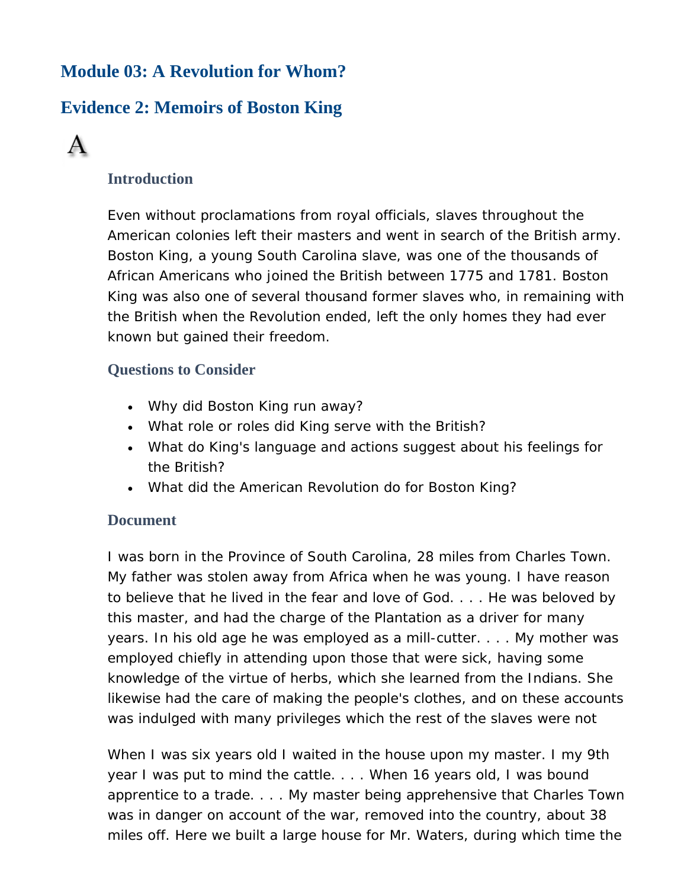# **Module 03: A Revolution for Whom?**

## **Evidence 2: Memoirs of Boston King**



### **Introduction**

Even without proclamations from royal officials, slaves throughout the American colonies left their masters and went in search of the British army. Boston King, a young South Carolina slave, was one of the thousands of African Americans who joined the British between 1775 and 1781. Boston King was also one of several thousand former slaves who, in remaining with the British when the Revolution ended, left the only homes they had ever known but gained their freedom.

### **Questions to Consider**

- Why did Boston King run away?
- What role or roles did King serve with the British?
- What do King's language and actions suggest about his feelings for the British?
- What did the American Revolution do for Boston King?

#### **Document**

I was born in the Province of South Carolina, 28 miles from Charles Town. My father was stolen away from Africa when he was young. I have reason to believe that he lived in the fear and love of God. . . . He was beloved by this master, and had the charge of the Plantation as a driver for many years. In his old age he was employed as a mill-cutter. . . . My mother was employed chiefly in attending upon those that were sick, having some knowledge of the virtue of herbs, which she learned from the Indians. She likewise had the care of making the people's clothes, and on these accounts was indulged with many privileges which the rest of the slaves were not

When I was six years old I waited in the house upon my master. I my 9th year I was put to mind the cattle. . . . When 16 years old, I was bound apprentice to a trade. . . . My master being apprehensive that Charles Town was in danger on account of the war, removed into the country, about 38 miles off. Here we built a large house for Mr. Waters, during which time the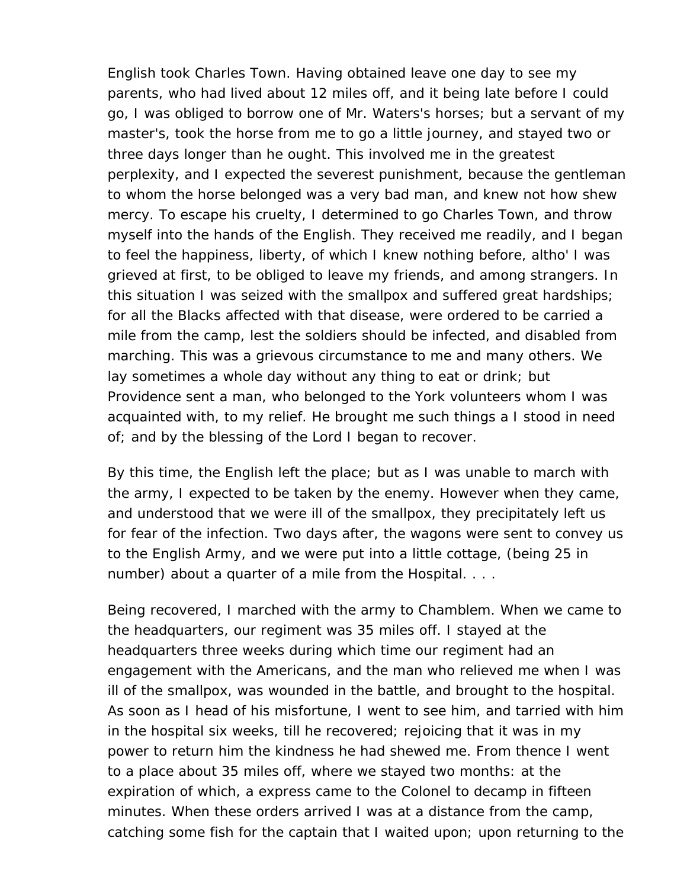English took Charles Town. Having obtained leave one day to see my parents, who had lived about 12 miles off, and it being late before I could go, I was obliged to borrow one of Mr. Waters's horses; but a servant of my master's, took the horse from me to go a little journey, and stayed two or three days longer than he ought. This involved me in the greatest perplexity, and I expected the severest punishment, because the gentleman to whom the horse belonged was a very bad man, and knew not how shew mercy. To escape his cruelty, I determined to go Charles Town, and throw myself into the hands of the English. They received me readily, and I began to feel the happiness, liberty, of which I knew nothing before, altho' I was grieved at first, to be obliged to leave my friends, and among strangers. In this situation I was seized with the smallpox and suffered great hardship s; for all the Blacks affected with that disease, were ordered to be carried a mile from the camp, lest the soldiers should be infected, and disabled from marching. This was a grievous circumstance to me and many others. We lay sometimes a whole day without any thing to eat or drink; but Providence sent a man, who belonged to the York volunteers whom I was acquainted with, to my relief. He brought me such things a I stood in need of; and by the blessing of the Lord I began to recover.

By this time, the English left the place; but as I was unable to march with the army, I expected to be taken by the enemy. However when they came, and understood that we were ill of the smallpox, they precipitately left us for fear of the infection. Two days after, the wagons were sent to convey us to the English Army, and we were put into a little cottage, (being 25 in number) about a quarter of a mile from the Hospital. . . .

Being recovered, I marched with the army to Chamblem. When we came to the headquarters, our regiment was 35 miles off. I stayed at the headquarters three weeks during which time our regiment had an engagement with the Americans, and the man who relieved me when I was ill of the smallpox, was wounded in the battle, and brought to the hospital. As soon as I head of his misfortune, I went to see him, and tarried with him in the hospital six weeks, till he recovered; rejoicing that it was in my power to return him the kindness he had shewed me. From thence I went to a place about 35 miles off, where we stayed two months: at the expiration of which, a express came to the Colonel to decamp in fifteen minutes. When these orders arrived I was at a distance from the camp, catching some fish for the captain that I waited upon; upon returning to the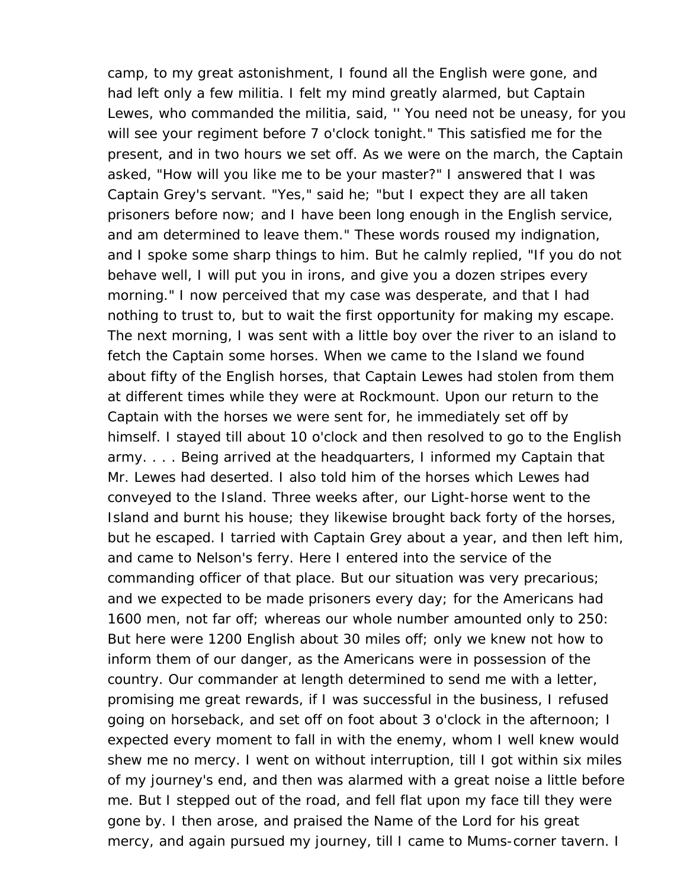camp, to my great astonishment, I found all the English were gone, and had left only a few militia. I felt my mind greatly alarmed, but Captain Lewes, who commanded the militia, said, '' You need not be uneasy, for y ou will see your regiment before 7 o'clock tonight." This satisfied me for the present, and in two hours we set off. As we were on the march, the Capt ain asked, "How will you like me to be your master?" I answered that I was Captain Grey's servant. "Yes," said he; "but I expect they are all taken prisoners before now; and I have been long enough in the English service, and am determined to leave them." These words roused my indignation, and I spoke some sharp things to him. But he calmly replied, "If you do not behave well, I will put you in irons, and give you a dozen stripes every morning." I now perceived that my case was desperate, and that I had nothing to trust to, but to wait the first opportunity for making my escape. The next morning, I was sent with a little boy over the river to an island to fetch the Captain some horses. When we came to the Island we found about fifty of the English horses, that Captain Lewes had stolen from them at different times while they were at Rockmount. Upon our return to the Captain with the horses we were sent for, he immediately set off by himself. I stayed till about 10 o'clock and then resolved to go to the English army. . . . Being arrived at the headquarters, I informed my Captain that Mr. Lewes had deserted. I also told him of the horses which Lewes had conveyed to the Island. Three weeks after, our Light-horse went to the Island and burnt his house; they likewise brought back forty of the horses, but he escaped. I tarried with Captain Grey about a year, and then left him, and came to Nelson's ferry. Here I entered into the service of the commanding officer of that place. But our situation was very precarious; and we expected to be made prisoners every day; for the Americans had 1600 men, not far off; whereas our whole number amounted only to 250: But here were 1200 English about 30 miles off; only we knew not how to inform them of our danger, as the Americans were in possession of the country. Our commander at length determined to send me with a letter, promising me great rewards, if I was successful in the business, I refused going on horseback, and set off on foot about 3 o'clock in the afternoon; I expected every moment to fall in with the enemy, whom I well knew would shew me no mercy. I went on without interruption, till I got within six miles of my journey's end, and then was alarmed with a great noise a little before me. But I stepped out of the road, and fell flat upon my face till they were gone by. I then arose, and praised the Name of the Lord for his great mercy, and again pursued my journey, till I came to Mums-corner tavern. I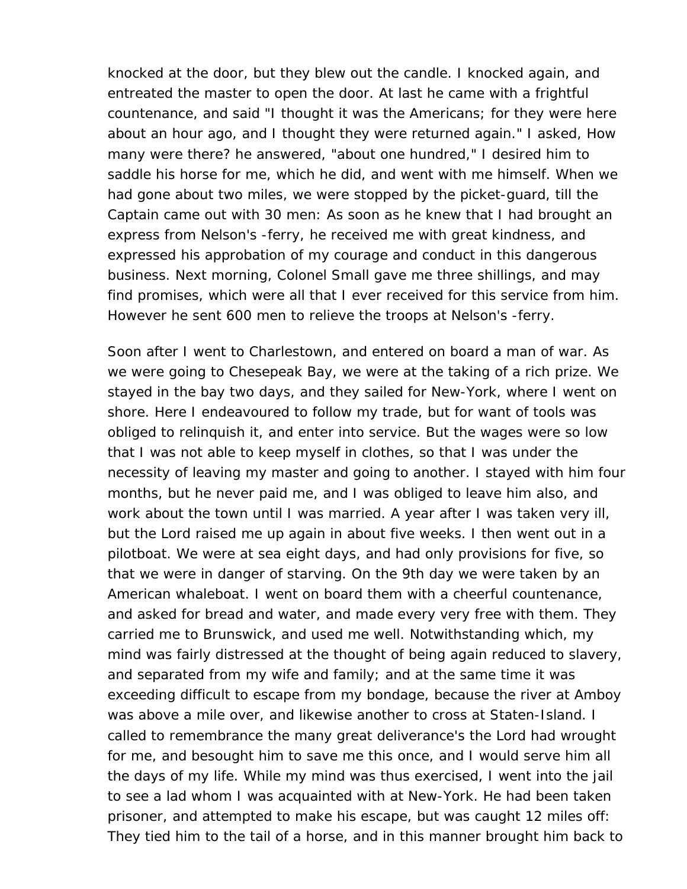knocked at the door, but they blew out the candle. I knocked again, and entreated the master to open the door. At last he came with a frightful countenance, and said "I thought it was the Americans; for they were here about an hour ago, and I thought they were returned again." I asked, How many were there? he answered, "about one hundred," I desired him to saddle his horse for me, which he did, and went with me himself. When we had gone about two miles, we were stopped by the picket-guard, till the Captain came out with 30 men: As soon as he knew that I had brought an express from Nelson's -ferry, he received me with great kindness, and expressed his approbation of my courage and conduct in this dangerous business. Next morning, Colonel Small gave me three shillings, and may find promises, which were all that I ever received for this service from him. However he sent 600 men to relieve the troops at Nelson's -ferry.

Soon after I went to Charlestown, and entered on board a man of war. As we were going to Chesepeak Bay, we were at the taking of a rich prize. We stayed in the bay two days, and they sailed for New-York, where I went on shore. Here I endeavoured to follow my trade, but for want of tools was obliged to relinquish it, and enter into service. But the wages were so low that I was not able to keep myself in clothes, so that I was under the necessity of leaving my master and going to another. I stayed with him four months, but he never paid me, and I was obliged to leave him also, and work about the town until I was married. A year after I was taken very ill, but the Lord raised me up again in about five weeks. I then went out in a pilotboat. We were at sea eight days, and had only provisions for five, so that we were in danger of starving. On the 9th day we were taken by an American whaleboat. I went on board them with a cheerful countenance, and asked for bread and water, and made every very free with them. They carried me to Brunswick, and used me well. Notwithstanding which, my mind was fairly distressed at the thought of being again reduced to slavery, and separated from my wife and family; and at the same time it was exceeding difficult to escape from my bondage, because the river at Amboy was above a mile over, and likewise another to cross at Staten-Island. I called to remembrance the many great deliverance's the Lord had wrought for me, and besought him to save me this once, and I would serve him all the days of my life. While my mind was thus exercised, I went into the jail to see a lad whom I was acquainted with at New-York. He had been taken prisoner, and attempted to make his escape, but was caught 12 miles off: They tied him to the tail of a horse, and in this manner brought him back to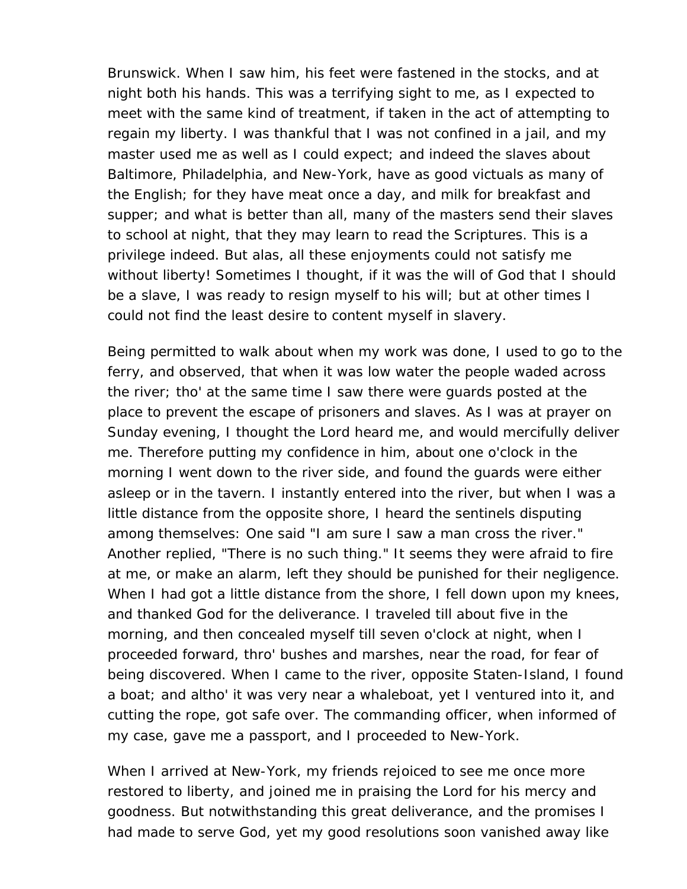Brunswick. When I saw him, his feet were fastened in the stocks, and at night both his hands. This was a terrifying sight to me, as I expected to meet with the same kind of treatment, if taken in the act of attempting to regain my liberty. I was thankful that I was not confined in a jail, and my master used me as well as I could expect; and indeed the slaves about Baltimore, Philadelphia, and New-York, have as good victuals as many of the English; for they have meat once a day, and milk for breakfast and supper; and what is better than all, many of the masters send their slaves to school at night, that they may learn to read the Scriptures. This is a privilege indeed. But alas, all these enjoyments could not satisfy me without liberty! Sometimes I thought, if it was the will of God that I should be a slave, I was ready to resign myself to his will; but at other times I could not find the least desire to content myself in slavery.

Being permitted to walk about when my work was done, I used to go to the ferry, and observed, that when it was low water the people waded across the river; tho' at the same time I saw there were guards posted at the place to prevent the escape of prisoners and slaves. As I was at prayer on Sunday evening, I thought the Lord heard me, and would mercifully deliver me. Therefore putting my confidence in him, about one o'clock in the morning I went down to the river side, and found the guards were either asleep or in the tavern. I instantly entered into the river, but when I was a little distance from the opposite shore, I heard the sentinels disputing among themselves: One said "I am sure I saw a man cross the river." Another replied, "There is no such thing." It seems they were afraid to fire at me, or make an alarm, left they should be punished for their negligence. When I had got a little distance from the shore, I fell down upon my knees, and thanked God for the deliverance. I traveled till about five in the morning, and then concealed myself till seven o'clock at night, when I proceeded forward, thro' bushes and marshes, near the road, for fear of being discovered. When I came to the river, opposite Staten-Island, I found a boat; and altho' it was very near a whaleboat, yet I ventured into it, and cutting the rope, got safe over. The commanding officer, when informed of my case, gave me a passport, and I proceeded to New-York.

When I arrived at New-York, my friends rejoiced to see me once more restored to liberty, and joined me in praising the Lord for his mercy and goodness. But notwithstanding this great deliverance, and the promises I had made to serve God, yet my good resolutions soon vanished away like